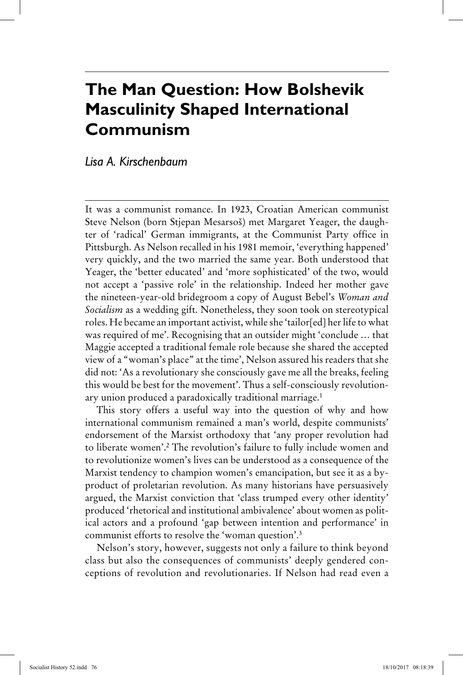# **The Man Question: How Bolshevik Masculinity Shaped International Communism**

## *Lisa A. Kirschenbaum*

It was a communist romance. In 1923, Croatian American communist Steve Nelson (born Stjepan Mesarsoš) met Margaret Yeager, the daughter of 'radical' German immigrants, at the Communist Party office in Pittsburgh. As Nelson recalled in his 1981 memoir, 'everything happened' very quickly, and the two married the same year. Both understood that Yeager, the 'better educated' and 'more sophisticated' of the two, would not accept a 'passive role' in the relationship. Indeed her mother gave the nineteen-year-old bridegroom a copy of August Bebel's *Woman and Socialism* as a wedding gift. Nonetheless, they soon took on stereotypical roles. He became an important activist, while she 'tailor[ed] her life to what was required of me'. Recognising that an outsider might 'conclude … that Maggie accepted a traditional female role because she shared the accepted view of a "woman's place" at the time', Nelson assured his readers that she did not: 'As a revolutionary she consciously gave me all the breaks, feeling this would be best for the movement'. Thus a self-consciously revolutionary union produced a paradoxically traditional marriage.<sup>1</sup>

This story offers a useful way into the question of why and how international communism remained a man's world, despite communists' endorsement of the Marxist orthodoxy that 'any proper revolution had to liberate women'.2 The revolution's failure to fully include women and to revolutionize women's lives can be understood as a consequence of the Marxist tendency to champion women's emancipation, but see it as a byproduct of proletarian revolution. As many historians have persuasively argued, the Marxist conviction that 'class trumped every other identity' produced 'rhetorical and institutional ambivalence' about women as political actors and a profound 'gap between intention and performance' in communist efforts to resolve the 'woman question'.3

Nelson's story, however, suggests not only a failure to think beyond class but also the consequences of communists' deeply gendered conceptions of revolution and revolutionaries. If Nelson had read even a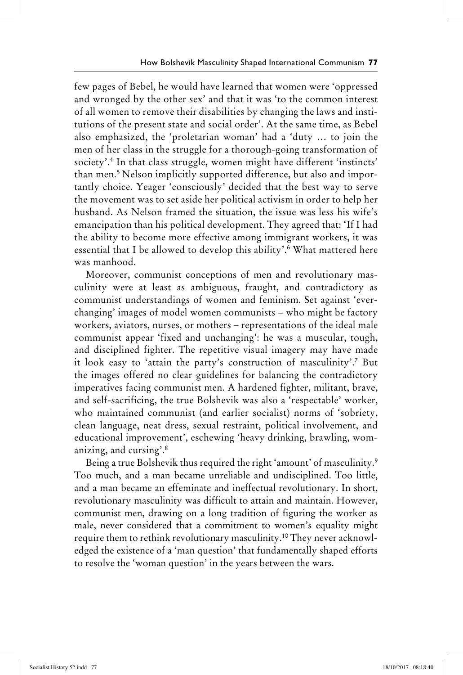few pages of Bebel, he would have learned that women were 'oppressed and wronged by the other sex' and that it was 'to the common interest of all women to remove their disabilities by changing the laws and institutions of the present state and social order'. At the same time, as Bebel also emphasized, the 'proletarian woman' had a 'duty … to join the men of her class in the struggle for a thorough-going transformation of society'.4 In that class struggle, women might have different 'instincts' than men.5 Nelson implicitly supported difference, but also and importantly choice. Yeager 'consciously' decided that the best way to serve the movement was to set aside her political activism in order to help her husband. As Nelson framed the situation, the issue was less his wife's emancipation than his political development. They agreed that: 'If I had the ability to become more effective among immigrant workers, it was essential that I be allowed to develop this ability'.6 What mattered here was manhood.

Moreover, communist conceptions of men and revolutionary masculinity were at least as ambiguous, fraught, and contradictory as communist understandings of women and feminism. Set against 'everchanging' images of model women communists – who might be factory workers, aviators, nurses, or mothers – representations of the ideal male communist appear 'fixed and unchanging': he was a muscular, tough, and disciplined fighter. The repetitive visual imagery may have made it look easy to 'attain the party's construction of masculinity'.7 But the images offered no clear guidelines for balancing the contradictory imperatives facing communist men. A hardened fighter, militant, brave, and self-sacrificing, the true Bolshevik was also a 'respectable' worker, who maintained communist (and earlier socialist) norms of 'sobriety, clean language, neat dress, sexual restraint, political involvement, and educational improvement', eschewing 'heavy drinking, brawling, womanizing, and cursing'.8

Being a true Bolshevik thus required the right 'amount' of masculinity.9 Too much, and a man became unreliable and undisciplined. Too little, and a man became an effeminate and ineffectual revolutionary. In short, revolutionary masculinity was difficult to attain and maintain. However, communist men, drawing on a long tradition of figuring the worker as male, never considered that a commitment to women's equality might require them to rethink revolutionary masculinity.10 They never acknowledged the existence of a 'man question' that fundamentally shaped efforts to resolve the 'woman question' in the years between the wars.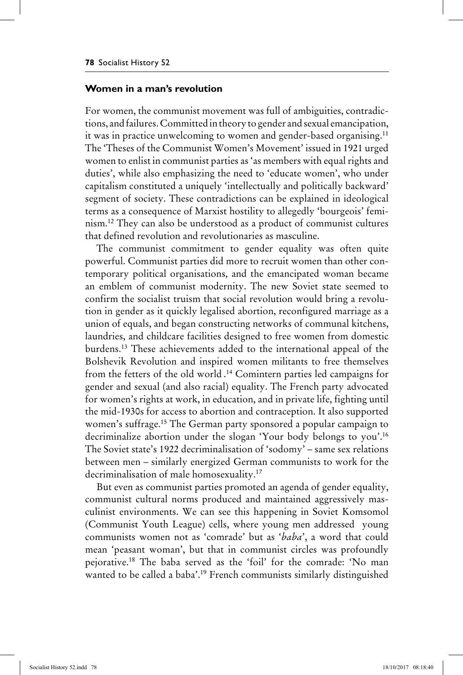### **Women in a man's revolution**

For women, the communist movement was full of ambiguities, contradictions, and failures. Committed in theory to gender and sexual emancipation, it was in practice unwelcoming to women and gender-based organising.<sup>11</sup> The 'Theses of the Communist Women's Movement' issued in 1921 urged women to enlist in communist parties as 'as members with equal rights and duties', while also emphasizing the need to 'educate women', who under capitalism constituted a uniquely 'intellectually and politically backward' segment of society. These contradictions can be explained in ideological terms as a consequence of Marxist hostility to allegedly 'bourgeois' feminism.12 They can also be understood as a product of communist cultures that defined revolution and revolutionaries as masculine.

The communist commitment to gender equality was often quite powerful. Communist parties did more to recruit women than other contemporary political organisations, and the emancipated woman became an emblem of communist modernity. The new Soviet state seemed to confirm the socialist truism that social revolution would bring a revolution in gender as it quickly legalised abortion, reconfigured marriage as a union of equals, and began constructing networks of communal kitchens, laundries, and childcare facilities designed to free women from domestic burdens.13 These achievements added to the international appeal of the Bolshevik Revolution and inspired women militants to free themselves from the fetters of the old world . 14 Comintern parties led campaigns for gender and sexual (and also racial) equality. The French party advocated for women's rights at work, in education, and in private life, fighting until the mid-1930s for access to abortion and contraception. It also supported women's suffrage.15 The German party sponsored a popular campaign to decriminalize abortion under the slogan 'Your body belongs to you'.16 The Soviet state's 1922 decriminalisation of 'sodomy' – same sex relations between men – similarly energized German communists to work for the decriminalisation of male homosexuality.17

But even as communist parties promoted an agenda of gender equality, communist cultural norms produced and maintained aggressively masculinist environments. We can see this happening in Soviet Komsomol (Communist Youth League) cells, where young men addressed young communists women not as 'comrade' but as '*baba*', a word that could mean 'peasant woman', but that in communist circles was profoundly pejorative.18 The baba served as the 'foil' for the comrade: 'No man wanted to be called a baba'.19 French communists similarly distinguished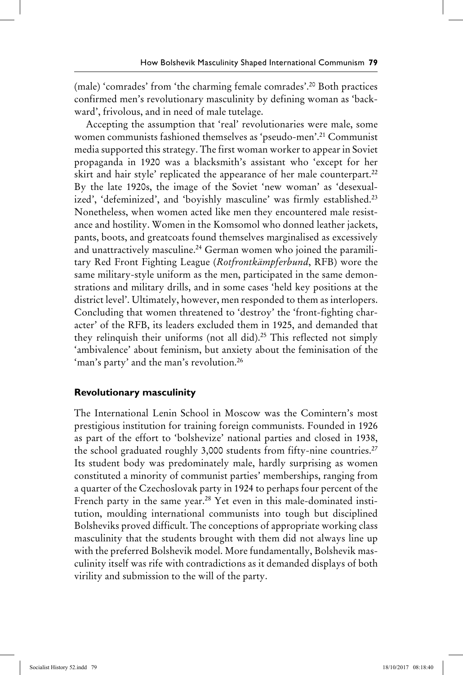(male) 'comrades' from 'the charming female comrades'.20 Both practices confirmed men's revolutionary masculinity by defining woman as 'backward', frivolous, and in need of male tutelage.

Accepting the assumption that 'real' revolutionaries were male, some women communists fashioned themselves as 'pseudo-men'.21 Communist media supported this strategy. The first woman worker to appear in Soviet propaganda in 1920 was a blacksmith's assistant who 'except for her skirt and hair style' replicated the appearance of her male counterpart.<sup>22</sup> By the late 1920s, the image of the Soviet 'new woman' as 'desexualized', 'defeminized', and 'boyishly masculine' was firmly established.<sup>23</sup> Nonetheless, when women acted like men they encountered male resistance and hostility. Women in the Komsomol who donned leather jackets, pants, boots, and greatcoats found themselves marginalised as excessively and unattractively masculine.<sup>24</sup> German women who joined the paramilitary Red Front Fighting League (*Rotfrontkämpferbund*, RFB) wore the same military-style uniform as the men, participated in the same demonstrations and military drills, and in some cases 'held key positions at the district level'. Ultimately, however, men responded to them as interlopers. Concluding that women threatened to 'destroy' the 'front-fighting character' of the RFB, its leaders excluded them in 1925, and demanded that they relinquish their uniforms (not all did).25 This reflected not simply 'ambivalence' about feminism, but anxiety about the feminisation of the 'man's party' and the man's revolution.<sup>26</sup>

#### **Revolutionary masculinity**

The International Lenin School in Moscow was the Comintern's most prestigious institution for training foreign communists. Founded in 1926 as part of the effort to 'bolshevize' national parties and closed in 1938, the school graduated roughly 3,000 students from fifty-nine countries.<sup>27</sup> Its student body was predominately male, hardly surprising as women constituted a minority of communist parties' memberships, ranging from a quarter of the Czechoslovak party in 1924 to perhaps four percent of the French party in the same year.<sup>28</sup> Yet even in this male-dominated institution, moulding international communists into tough but disciplined Bolsheviks proved difficult. The conceptions of appropriate working class masculinity that the students brought with them did not always line up with the preferred Bolshevik model. More fundamentally, Bolshevik masculinity itself was rife with contradictions as it demanded displays of both virility and submission to the will of the party.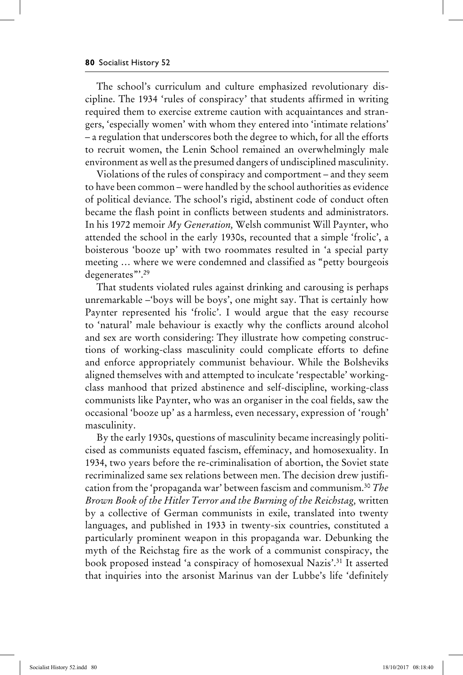The school's curriculum and culture emphasized revolutionary discipline. The 1934 'rules of conspiracy' that students affirmed in writing required them to exercise extreme caution with acquaintances and strangers, 'especially women' with whom they entered into 'intimate relations' – a regulation that underscores both the degree to which, for all the efforts to recruit women, the Lenin School remained an overwhelmingly male environment as well as the presumed dangers of undisciplined masculinity.

Violations of the rules of conspiracy and comportment – and they seem to have been common – were handled by the school authorities as evidence of political deviance. The school's rigid, abstinent code of conduct often became the flash point in conflicts between students and administrators. In his 1972 memoir *My Generation,* Welsh communist Will Paynter, who attended the school in the early 1930s, recounted that a simple 'frolic', a boisterous 'booze up' with two roommates resulted in 'a special party meeting … where we were condemned and classified as "petty bourgeois degenerates"'.29

That students violated rules against drinking and carousing is perhaps unremarkable –'boys will be boys', one might say. That is certainly how Paynter represented his 'frolic'. I would argue that the easy recourse to 'natural' male behaviour is exactly why the conflicts around alcohol and sex are worth considering: They illustrate how competing constructions of working-class masculinity could complicate efforts to define and enforce appropriately communist behaviour. While the Bolsheviks aligned themselves with and attempted to inculcate 'respectable' workingclass manhood that prized abstinence and self-discipline, working-class communists like Paynter, who was an organiser in the coal fields, saw the occasional 'booze up' as a harmless, even necessary, expression of 'rough' masculinity.

By the early 1930s, questions of masculinity became increasingly politicised as communists equated fascism, effeminacy, and homosexuality. In 1934, two years before the re-criminalisation of abortion, the Soviet state recriminalized same sex relations between men. The decision drew justification from the 'propaganda war' between fascism and communism. 30 *The Brown Book of the Hitler Terror and the Burning of the Reichstag,* written by a collective of German communists in exile, translated into twenty languages, and published in 1933 in twenty-six countries, constituted a particularly prominent weapon in this propaganda war. Debunking the myth of the Reichstag fire as the work of a communist conspiracy, the book proposed instead 'a conspiracy of homosexual Nazis'.31 It asserted that inquiries into the arsonist Marinus van der Lubbe's life 'definitely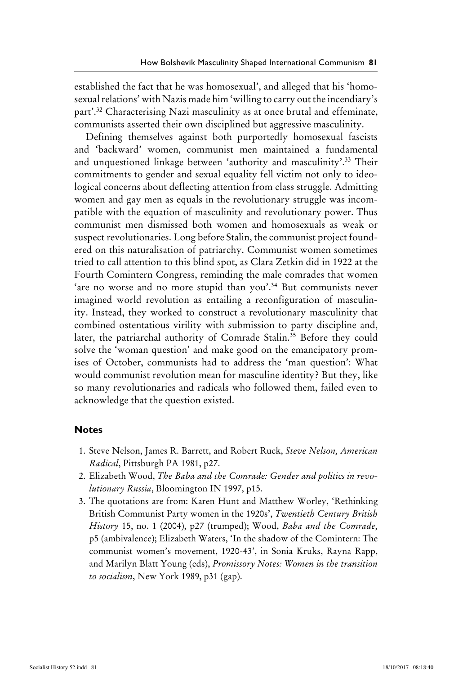established the fact that he was homosexual', and alleged that his 'homosexual relations' with Nazis made him 'willing to carry out the incendiary's part'.32 Characterising Nazi masculinity as at once brutal and effeminate, communists asserted their own disciplined but aggressive masculinity.

Defining themselves against both purportedly homosexual fascists and 'backward' women, communist men maintained a fundamental and unquestioned linkage between 'authority and masculinity'.<sup>33</sup> Their commitments to gender and sexual equality fell victim not only to ideological concerns about deflecting attention from class struggle. Admitting women and gay men as equals in the revolutionary struggle was incompatible with the equation of masculinity and revolutionary power. Thus communist men dismissed both women and homosexuals as weak or suspect revolutionaries. Long before Stalin, the communist project foundered on this naturalisation of patriarchy. Communist women sometimes tried to call attention to this blind spot, as Clara Zetkin did in 1922 at the Fourth Comintern Congress, reminding the male comrades that women 'are no worse and no more stupid than you'.<sup>34</sup> But communists never imagined world revolution as entailing a reconfiguration of masculinity. Instead, they worked to construct a revolutionary masculinity that combined ostentatious virility with submission to party discipline and, later, the patriarchal authority of Comrade Stalin.35 Before they could solve the 'woman question' and make good on the emancipatory promises of October, communists had to address the 'man question': What would communist revolution mean for masculine identity? But they, like so many revolutionaries and radicals who followed them, failed even to acknowledge that the question existed.

#### **Notes**

- 1. Steve Nelson, James R. Barrett, and Robert Ruck, *Steve Nelson, American Radical*, Pittsburgh PA 1981, p27.
- 2. Elizabeth Wood, *The Baba and the Comrade: Gender and politics in revolutionary Russia*, Bloomington IN 1997, p15.
- 3. The quotations are from: Karen Hunt and Matthew Worley, 'Rethinking British Communist Party women in the 1920s', *Twentieth Century British History* 15, no. 1 (2004), p27 (trumped); Wood, *Baba and the Comrade,*  p5 (ambivalence); Elizabeth Waters, 'In the shadow of the Comintern: The communist women's movement, 1920-43', in Sonia Kruks, Rayna Rapp, and Marilyn Blatt Young (eds), *Promissory Notes: Women in the transition to socialism*, New York 1989, p31 (gap).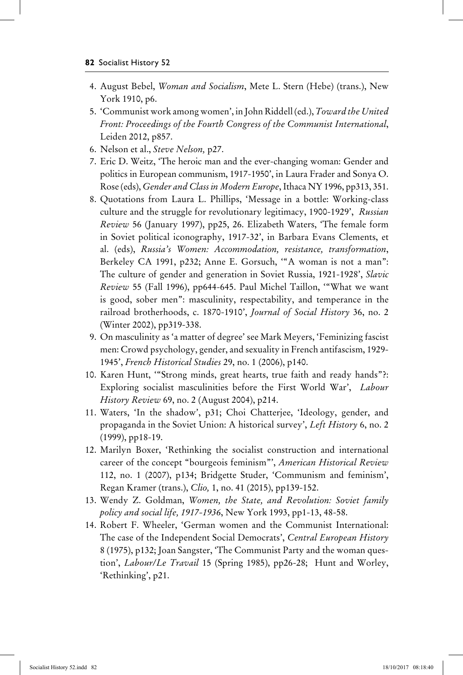- 4. August Bebel, *Woman and Socialism*, Mete L. Stern (Hebe) (trans.), New York 1910, p6.
- 5. 'Communist work among women', in John Riddell (ed.), *Toward the United Front: Proceedings of the Fourth Congress of the Communist International*, Leiden 2012, p857.
- 6. Nelson et al., *Steve Nelson,* p27.
- 7. Eric D. Weitz, 'The heroic man and the ever-changing woman: Gender and politics in European communism, 1917-1950', in Laura Frader and Sonya O. Rose (eds), *Gender and Class in Modern Europe*, Ithaca NY 1996, pp313, 351.
- 8. Quotations from Laura L. Phillips, 'Message in a bottle: Working-class culture and the struggle for revolutionary legitimacy, 1900-1929', *Russian Review* 56 (January 1997), pp25, 26. Elizabeth Waters, 'The female form in Soviet political iconography, 1917-32', in Barbara Evans Clements, et al. (eds), *Russia's Women: Accommodation, resistance, transformation*, Berkeley CA 1991, p232; Anne E. Gorsuch, '"A woman is not a man": The culture of gender and generation in Soviet Russia, 1921-1928', *Slavic Review* 55 (Fall 1996), pp644-645. Paul Michel Taillon, '"What we want is good, sober men": masculinity, respectability, and temperance in the railroad brotherhoods, c. 1870-1910', *Journal of Social History* 36, no. 2 (Winter 2002), pp319-338.
- 9. On masculinity as 'a matter of degree' see Mark Meyers, 'Feminizing fascist men: Crowd psychology, gender, and sexuality in French antifascism, 1929- 1945', *French Historical Studies* 29, no. 1 (2006), p140.
- 10. Karen Hunt, '"Strong minds, great hearts, true faith and ready hands"?: Exploring socialist masculinities before the First World War', *Labour History Review* 69, no. 2 (August 2004), p214.
- 11. Waters, 'In the shadow', p31; Choi Chatterjee, 'Ideology, gender, and propaganda in the Soviet Union: A historical survey', *Left History* 6, no. 2 (1999), pp18-19.
- 12. Marilyn Boxer, 'Rethinking the socialist construction and international career of the concept "bourgeois feminism"', *American Historical Review*  112, no. 1 (2007), p134; Bridgette Studer, 'Communism and feminism', Regan Kramer (trans.), *Clio,* 1, no. 41 (2015), pp139-152.
- 13. Wendy Z. Goldman, *Women, the State, and Revolution: Soviet family policy and social life, 1917-1936*, New York 1993, pp1-13, 48-58.
- 14. Robert F. Wheeler, 'German women and the Communist International: The case of the Independent Social Democrats', *Central European History*  8 (1975), p132; Joan Sangster, 'The Communist Party and the woman question', *Labour/Le Travail* 15 (Spring 1985), pp26-28; Hunt and Worley, 'Rethinking', p21.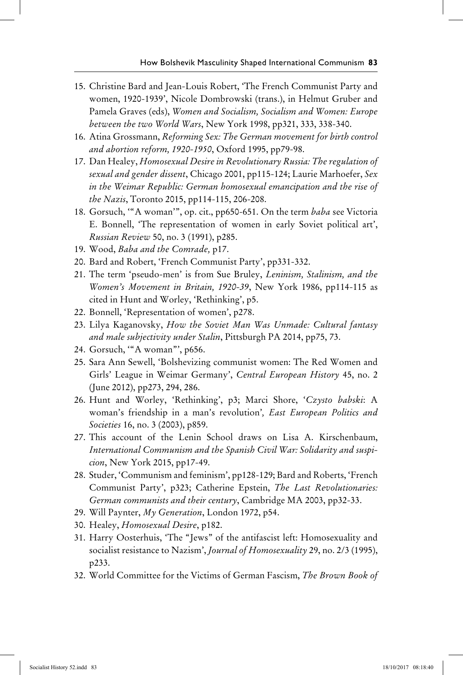- 15. Christine Bard and Jean-Louis Robert, 'The French Communist Party and women, 1920-1939', Nicole Dombrowski (trans.), in Helmut Gruber and Pamela Graves (eds), *Women and Socialism, Socialism and Women: Europe between the two World Wars*, New York 1998, pp321, 333, 338-340.
- 16. Atina Grossmann, *Reforming Sex: The German movement for birth control and abortion reform, 1920-1950*, Oxford 1995, pp79-98.
- 17. Dan Healey, *Homosexual Desire in Revolutionary Russia: The regulation of sexual and gender dissent*, Chicago 2001, pp115-124; Laurie Marhoefer, *Sex in the Weimar Republic: German homosexual emancipation and the rise of the Nazis*, Toronto 2015, pp114-115, 206-208.
- 18. Gorsuch, '"A woman'", op. cit., pp650-651. On the term *baba* see Victoria E. Bonnell, 'The representation of women in early Soviet political art', *Russian Review* 50, no. 3 (1991), p285.
- 19. Wood, *Baba and the Comrade,* p17.
- 20. Bard and Robert, 'French Communist Party', pp331-332.
- 21. The term 'pseudo-men' is from Sue Bruley, *Leninism, Stalinism, and the Women's Movement in Britain, 1920-39*, New York 1986, pp114-115 as cited in Hunt and Worley, 'Rethinking', p5.
- 22. Bonnell, 'Representation of women', p278.
- 23. Lilya Kaganovsky, *How the Soviet Man Was Unmade: Cultural fantasy and male subjectivity under Stalin*, Pittsburgh PA 2014, pp75, 73.
- 24. Gorsuch, '"A woman"', p656.
- 25. Sara Ann Sewell, 'Bolshevizing communist women: The Red Women and Girls' League in Weimar Germany', *Central European History* 45, no. 2 (June 2012), pp273, 294, 286.
- 26. Hunt and Worley, 'Rethinking', p3; Marci Shore, '*Czysto babski*: A woman's friendship in a man's revolution'*, East European Politics and Societies* 16, no. 3 (2003), p859.
- 27. This account of the Lenin School draws on Lisa A. Kirschenbaum, *International Communism and the Spanish Civil War: Solidarity and suspicion*, New York 2015, pp17-49.
- 28. Studer, 'Communism and feminism', pp128-129; Bard and Roberts, 'French Communist Party', p323; Catherine Epstein, *The Last Revolutionaries: German communists and their century*, Cambridge MA 2003, pp32-33.
- 29. Will Paynter, *My Generation*, London 1972, p54.
- 30. Healey, *Homosexual Desire*, p182.
- 31. Harry Oosterhuis, 'The "Jews" of the antifascist left: Homosexuality and socialist resistance to Nazism', *Journal of Homosexuality* 29, no. 2/3 (1995), p233.
- 32. World Committee for the Victims of German Fascism, *The Brown Book of*